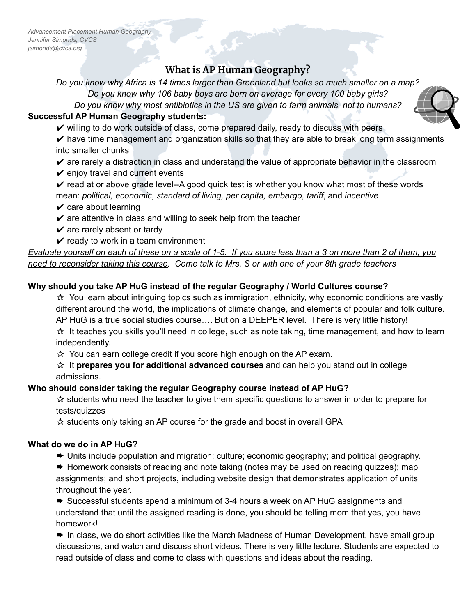*Advancement Placement Human Geography Jennifer Simonds, CVCS jsimonds@cvcs.org*

# **What is AP Human Geography?**

Do you know why Africa is 14 times larger than Greenland but looks so much smaller on a map?

*Do you know why 106 baby boys are born on average for every 100 baby girls?*

*Do you know why most antibiotics in the US are given to farm animals, not to humans?*

#### **Successful AP Human Geography students:**

- $\checkmark$  willing to do work outside of class, come prepared daily, ready to discuss with peers
- $\triangleright$  have time management and organization skills so that they are able to break long term assignments into smaller chunks
- $\triangleright$  are rarely a distraction in class and understand the value of appropriate behavior in the classroom
- $\vee$  enjoy travel and current events
- $\triangleright$  read at or above grade level--A good quick test is whether you know what most of these words mean: *political, economic, standard of living, per capita, embargo, tariff*, and *incentive*
- $\vee$  care about learning
- $\checkmark$  are attentive in class and willing to seek help from the teacher
- $\vee$  are rarely absent or tardy
- $\mathbf y$  ready to work in a team environment

Evaluate yourself on each of these on a scale of 1-5. If you score less than a 3 on more than 2 of them, you need to reconsider taking this course. Come talk to Mrs. S or with one of your 8th grade teachers

## **Why should you take AP HuG instead of the regular Geography / World Cultures course?**

 $\mathcal{A}$  You learn about intriguing topics such as immigration, ethnicity, why economic conditions are vastly different around the world, the implications of climate change, and elements of popular and folk culture. AP HuG is a true social studies course…. But on a DEEPER level. There is very little history!  $\mathbf{\hat{x}}$  It teaches you skills you'll need in college, such as note taking, time management, and how to learn independently.

 $\mathcal{A}$  You can earn college credit if you score high enough on the AP exam.

✰ It **prepares you for additional advanced courses** and can help you stand out in college admissions.

## **Who should consider taking the regular Geography course instead of AP HuG?**

 $\hat{x}$  students who need the teacher to give them specific questions to answer in order to prepare for tests/quizzes

✰ students only taking an AP course for the grade and boost in overall GPA

## **What do we do in AP HuG?**

➨ Units include population and migration; culture; economic geography; and political geography.

➨ Homework consists of reading and note taking (notes may be used on reading quizzes); map assignments; and short projects, including website design that demonstrates application of units throughout the year.

➨ Successful students spend a minimum of 3-4 hours a week on AP HuG assignments and understand that until the assigned reading is done, you should be telling mom that yes, you have homework!

**►** In class, we do short activities like the March Madness of Human Development, have small group discussions, and watch and discuss short videos. There is very little lecture. Students are expected to read outside of class and come to class with questions and ideas about the reading.